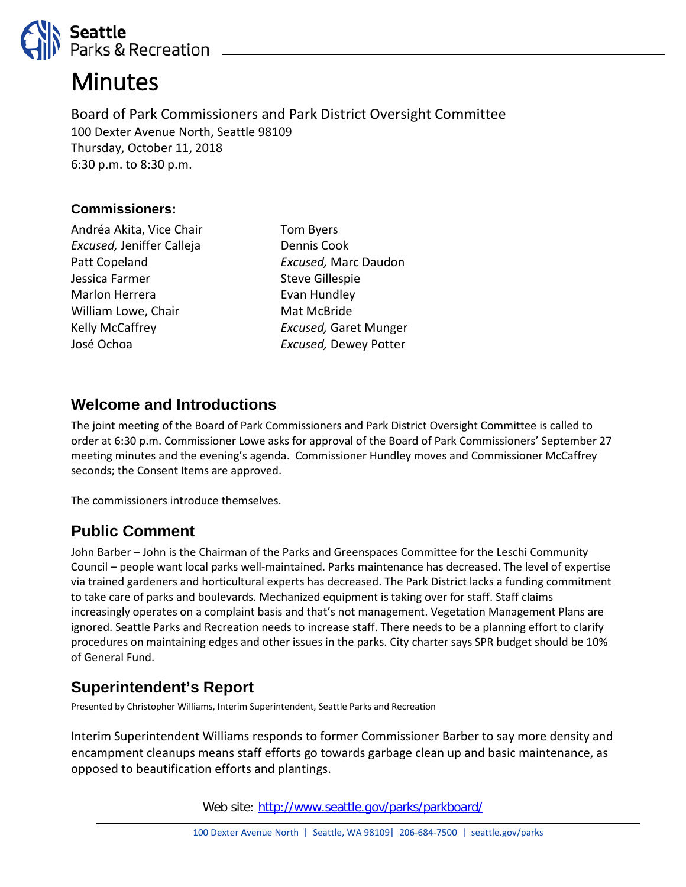

# **Minutes**

Board of Park Commissioners and Park District Oversight Committee 100 Dexter Avenue North, Seattle 98109 Thursday, October 11, 2018 6:30 p.m. to 8:30 p.m.

#### **Commissioners:**

Andréa Akita, Vice Chair *Excused,* Jeniffer Calleja Patt Copeland Jessica Farmer Marlon Herrera William Lowe, Chair Kelly McCaffrey José Ochoa

Tom Byers Dennis Cook *Excused,* Marc Daudon Steve Gillespie Evan Hundley Mat McBride *Excused,* Garet Munger *Excused,* Dewey Potter

#### **Welcome and Introductions**

The joint meeting of the Board of Park Commissioners and Park District Oversight Committee is called to order at 6:30 p.m. Commissioner Lowe asks for approval of the Board of Park Commissioners' September 27 meeting minutes and the evening's agenda. Commissioner Hundley moves and Commissioner McCaffrey seconds; the Consent Items are approved.

The commissioners introduce themselves.

# **Public Comment**

John Barber – John is the Chairman of the Parks and Greenspaces Committee for the Leschi Community Council – people want local parks well-maintained. Parks maintenance has decreased. The level of expertise via trained gardeners and horticultural experts has decreased. The Park District lacks a funding commitment to take care of parks and boulevards. Mechanized equipment is taking over for staff. Staff claims increasingly operates on a complaint basis and that's not management. Vegetation Management Plans are ignored. Seattle Parks and Recreation needs to increase staff. There needs to be a planning effort to clarify procedures on maintaining edges and other issues in the parks. City charter says SPR budget should be 10% of General Fund.

# **Superintendent's Report**

Presented by Christopher Williams, Interim Superintendent, Seattle Parks and Recreation

Interim Superintendent Williams responds to former Commissioner Barber to say more density and encampment cleanups means staff efforts go towards garbage clean up and basic maintenance, as opposed to beautification efforts and plantings.

Web site: <http://www.seattle.gov/parks/parkboard/>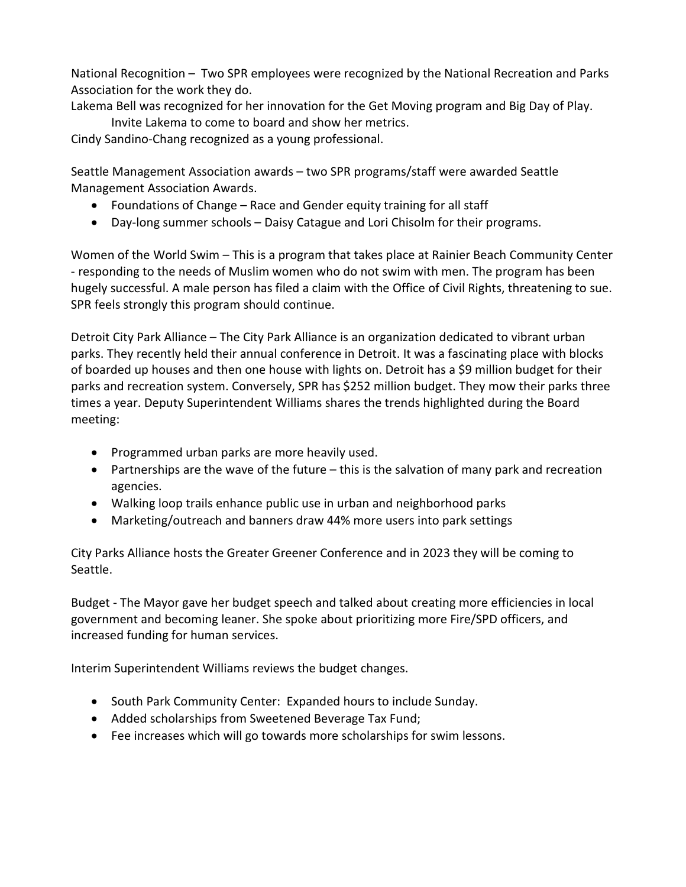National Recognition – Two SPR employees were recognized by the National Recreation and Parks Association for the work they do.

Lakema Bell was recognized for her innovation for the Get Moving program and Big Day of Play.

Invite Lakema to come to board and show her metrics.

Cindy Sandino-Chang recognized as a young professional.

Seattle Management Association awards – two SPR programs/staff were awarded Seattle Management Association Awards.

- Foundations of Change Race and Gender equity training for all staff
- Day-long summer schools Daisy Catague and Lori Chisolm for their programs.

Women of the World Swim – This is a program that takes place at Rainier Beach Community Center - responding to the needs of Muslim women who do not swim with men. The program has been hugely successful. A male person has filed a claim with the Office of Civil Rights, threatening to sue. SPR feels strongly this program should continue.

Detroit City Park Alliance – The City Park Alliance is an organization dedicated to vibrant urban parks. They recently held their annual conference in Detroit. It was a fascinating place with blocks of boarded up houses and then one house with lights on. Detroit has a \$9 million budget for their parks and recreation system. Conversely, SPR has \$252 million budget. They mow their parks three times a year. Deputy Superintendent Williams shares the trends highlighted during the Board meeting:

- Programmed urban parks are more heavily used.
- Partnerships are the wave of the future this is the salvation of many park and recreation agencies.
- Walking loop trails enhance public use in urban and neighborhood parks
- Marketing/outreach and banners draw 44% more users into park settings

City Parks Alliance hosts the Greater Greener Conference and in 2023 they will be coming to Seattle.

Budget - The Mayor gave her budget speech and talked about creating more efficiencies in local government and becoming leaner. She spoke about prioritizing more Fire/SPD officers, and increased funding for human services.

Interim Superintendent Williams reviews the budget changes.

- South Park Community Center: Expanded hours to include Sunday.
- Added scholarships from Sweetened Beverage Tax Fund;
- Fee increases which will go towards more scholarships for swim lessons.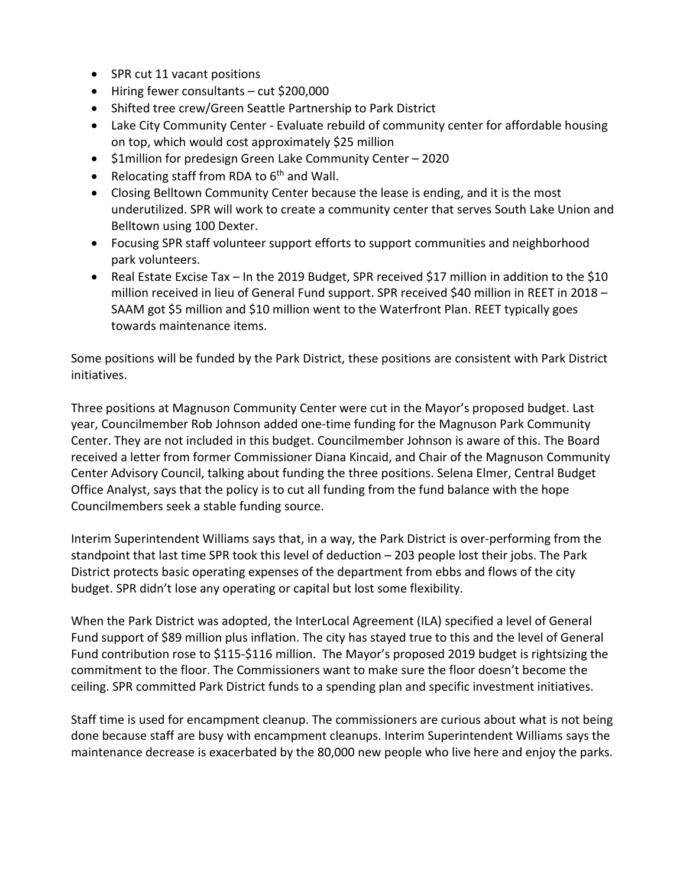- SPR cut 11 vacant positions
- Hiring fewer consultants cut \$200,000
- Shifted tree crew/Green Seattle Partnership to Park District
- Lake City Community Center Evaluate rebuild of community center for affordable housing on top, which would cost approximately \$25 million
- \$1million for predesign Green Lake Community Center 2020
- Relocating staff from RDA to  $6<sup>th</sup>$  and Wall.
- Closing Belltown Community Center because the lease is ending, and it is the most underutilized. SPR will work to create a community center that serves South Lake Union and Belltown using 100 Dexter.
- Focusing SPR staff volunteer support efforts to support communities and neighborhood park volunteers.
- Real Estate Excise Tax In the 2019 Budget, SPR received \$17 million in addition to the \$10 million received in lieu of General Fund support. SPR received \$40 million in REET in 2018 – SAAM got \$5 million and \$10 million went to the Waterfront Plan. REET typically goes towards maintenance items.

Some positions will be funded by the Park District, these positions are consistent with Park District initiatives.

Three positions at Magnuson Community Center were cut in the Mayor's proposed budget. Last year, Councilmember Rob Johnson added one-time funding for the Magnuson Park Community Center. They are not included in this budget. Councilmember Johnson is aware of this. The Board received a letter from former Commissioner Diana Kincaid, and Chair of the Magnuson Community Center Advisory Council, talking about funding the three positions. Selena Elmer, Central Budget Office Analyst, says that the policy is to cut all funding from the fund balance with the hope Councilmembers seek a stable funding source.

Interim Superintendent Williams says that, in a way, the Park District is over-performing from the standpoint that last time SPR took this level of deduction – 203 people lost their jobs. The Park District protects basic operating expenses of the department from ebbs and flows of the city budget. SPR didn't lose any operating or capital but lost some flexibility.

When the Park District was adopted, the InterLocal Agreement (ILA) specified a level of General Fund support of \$89 million plus inflation. The city has stayed true to this and the level of General Fund contribution rose to \$115-\$116 million. The Mayor's proposed 2019 budget is rightsizing the commitment to the floor. The Commissioners want to make sure the floor doesn't become the ceiling. SPR committed Park District funds to a spending plan and specific investment initiatives.

Staff time is used for encampment cleanup. The commissioners are curious about what is not being done because staff are busy with encampment cleanups. Interim Superintendent Williams says the maintenance decrease is exacerbated by the 80,000 new people who live here and enjoy the parks.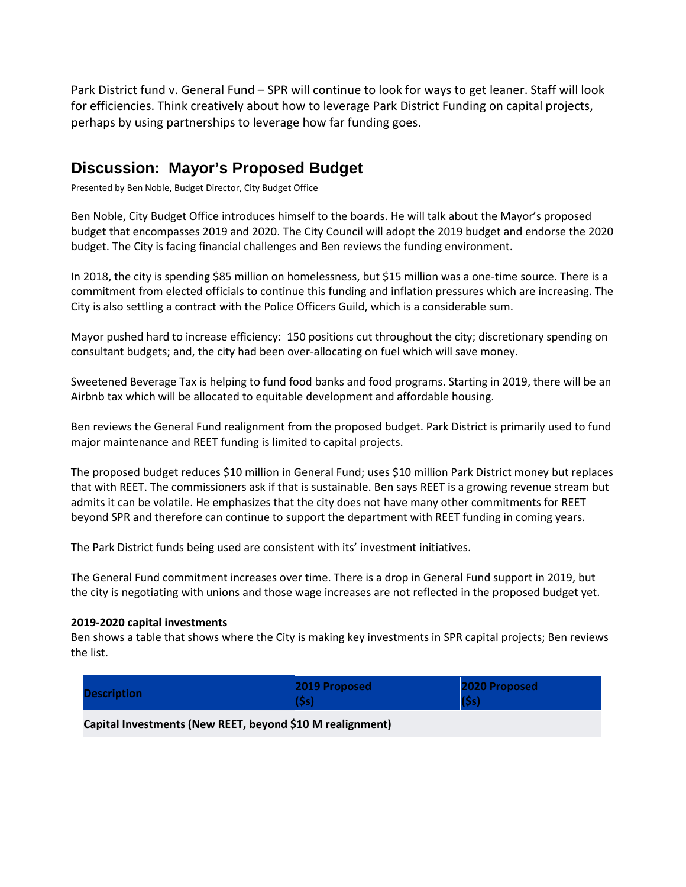Park District fund v. General Fund – SPR will continue to look for ways to get leaner. Staff will look for efficiencies. Think creatively about how to leverage Park District Funding on capital projects, perhaps by using partnerships to leverage how far funding goes.

#### **Discussion: Mayor's Proposed Budget**

Presented by Ben Noble, Budget Director, City Budget Office

Ben Noble, City Budget Office introduces himself to the boards. He will talk about the Mayor's proposed budget that encompasses 2019 and 2020. The City Council will adopt the 2019 budget and endorse the 2020 budget. The City is facing financial challenges and Ben reviews the funding environment.

In 2018, the city is spending \$85 million on homelessness, but \$15 million was a one-time source. There is a commitment from elected officials to continue this funding and inflation pressures which are increasing. The City is also settling a contract with the Police Officers Guild, which is a considerable sum.

Mayor pushed hard to increase efficiency: 150 positions cut throughout the city; discretionary spending on consultant budgets; and, the city had been over-allocating on fuel which will save money.

Sweetened Beverage Tax is helping to fund food banks and food programs. Starting in 2019, there will be an Airbnb tax which will be allocated to equitable development and affordable housing.

Ben reviews the General Fund realignment from the proposed budget. Park District is primarily used to fund major maintenance and REET funding is limited to capital projects.

The proposed budget reduces \$10 million in General Fund; uses \$10 million Park District money but replaces that with REET. The commissioners ask if that is sustainable. Ben says REET is a growing revenue stream but admits it can be volatile. He emphasizes that the city does not have many other commitments for REET beyond SPR and therefore can continue to support the department with REET funding in coming years.

The Park District funds being used are consistent with its' investment initiatives.

The General Fund commitment increases over time. There is a drop in General Fund support in 2019, but the city is negotiating with unions and those wage increases are not reflected in the proposed budget yet.

#### **2019-2020 capital investments**

Ben shows a table that shows where the City is making key investments in SPR capital projects; Ben reviews the list.

| <b>Description</b>                                        | 2019 Proposed<br>(Ss) | 2020 Proposed<br>(5s) |  |  |  |
|-----------------------------------------------------------|-----------------------|-----------------------|--|--|--|
| Capital Investments (New REET, beyond \$10 M realignment) |                       |                       |  |  |  |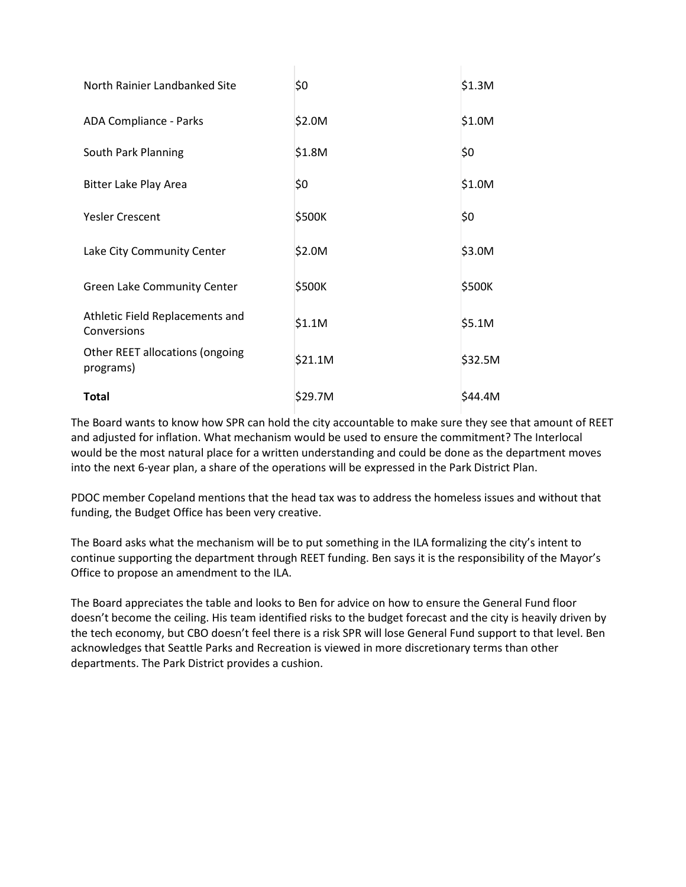| North Rainier Landbanked Site                  | S0      | \$1.3M  |
|------------------------------------------------|---------|---------|
| ADA Compliance - Parks                         | \$2.0M  | \$1.0M  |
| South Park Planning                            | \$1.8M  | \$0     |
| Bitter Lake Play Area                          | \$0     | \$1.0M  |
| <b>Yesler Crescent</b>                         | \$500K  | \$0     |
| Lake City Community Center                     | \$2.0M  | \$3.0M  |
| Green Lake Community Center                    | \$500K  | \$500K  |
| Athletic Field Replacements and<br>Conversions | \$1.1M  | \$5.1M  |
| Other REET allocations (ongoing<br>programs)   | \$21.1M | \$32.5M |
| <b>Total</b>                                   | \$29.7M | \$44.4M |

The Board wants to know how SPR can hold the city accountable to make sure they see that amount of REET and adjusted for inflation. What mechanism would be used to ensure the commitment? The Interlocal would be the most natural place for a written understanding and could be done as the department moves into the next 6-year plan, a share of the operations will be expressed in the Park District Plan.

PDOC member Copeland mentions that the head tax was to address the homeless issues and without that funding, the Budget Office has been very creative.

The Board asks what the mechanism will be to put something in the ILA formalizing the city's intent to continue supporting the department through REET funding. Ben says it is the responsibility of the Mayor's Office to propose an amendment to the ILA.

The Board appreciates the table and looks to Ben for advice on how to ensure the General Fund floor doesn't become the ceiling. His team identified risks to the budget forecast and the city is heavily driven by the tech economy, but CBO doesn't feel there is a risk SPR will lose General Fund support to that level. Ben acknowledges that Seattle Parks and Recreation is viewed in more discretionary terms than other departments. The Park District provides a cushion.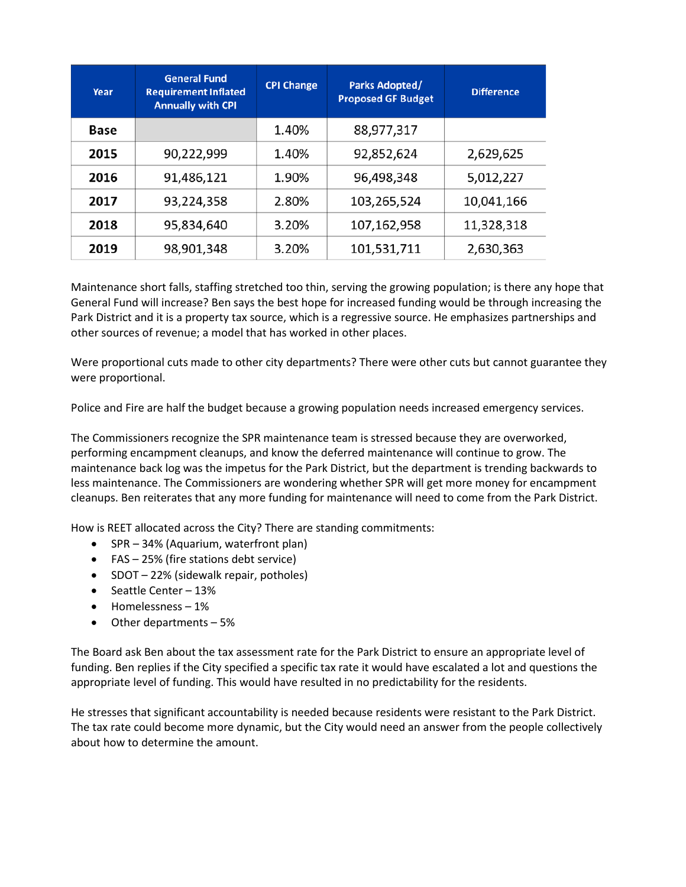| Year | <b>General Fund</b><br><b>Requirement Inflated</b><br><b>Annually with CPI</b> | <b>CPI Change</b> | <b>Parks Adopted/</b><br><b>Proposed GF Budget</b> | <b>Difference</b> |
|------|--------------------------------------------------------------------------------|-------------------|----------------------------------------------------|-------------------|
| Base |                                                                                | 1.40%             | 88,977,317                                         |                   |
| 2015 | 90,222,999                                                                     | 1.40%             | 92,852,624                                         | 2,629,625         |
| 2016 | 91,486,121                                                                     | 1.90%             | 96,498,348                                         | 5,012,227         |
| 2017 | 93,224,358                                                                     | 2.80%             | 103,265,524                                        | 10,041,166        |
| 2018 | 95,834,640                                                                     | 3.20%             | 107,162,958                                        | 11,328,318        |
| 2019 | 98,901,348                                                                     | 3.20%             | 101,531,711                                        | 2,630,363         |

Maintenance short falls, staffing stretched too thin, serving the growing population; is there any hope that General Fund will increase? Ben says the best hope for increased funding would be through increasing the Park District and it is a property tax source, which is a regressive source. He emphasizes partnerships and other sources of revenue; a model that has worked in other places.

Were proportional cuts made to other city departments? There were other cuts but cannot guarantee they were proportional.

Police and Fire are half the budget because a growing population needs increased emergency services.

The Commissioners recognize the SPR maintenance team is stressed because they are overworked, performing encampment cleanups, and know the deferred maintenance will continue to grow. The maintenance back log was the impetus for the Park District, but the department is trending backwards to less maintenance. The Commissioners are wondering whether SPR will get more money for encampment cleanups. Ben reiterates that any more funding for maintenance will need to come from the Park District.

How is REET allocated across the City? There are standing commitments:

- SPR 34% (Aquarium, waterfront plan)
- FAS 25% (fire stations debt service)
- SDOT 22% (sidewalk repair, potholes)
- Seattle Center 13%
- Homelessness 1%
- Other departments 5%

The Board ask Ben about the tax assessment rate for the Park District to ensure an appropriate level of funding. Ben replies if the City specified a specific tax rate it would have escalated a lot and questions the appropriate level of funding. This would have resulted in no predictability for the residents.

He stresses that significant accountability is needed because residents were resistant to the Park District. The tax rate could become more dynamic, but the City would need an answer from the people collectively about how to determine the amount.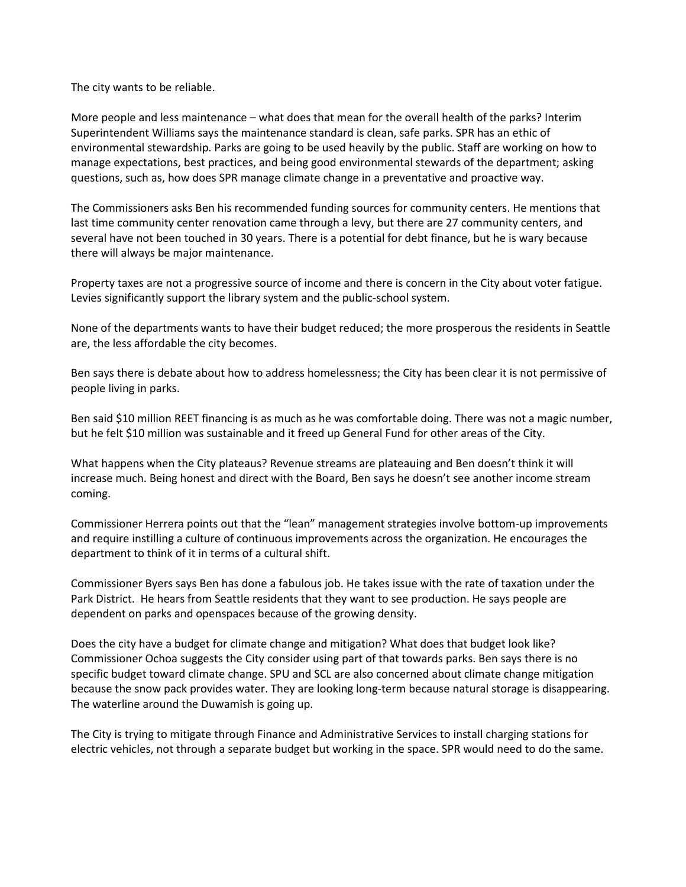The city wants to be reliable.

More people and less maintenance – what does that mean for the overall health of the parks? Interim Superintendent Williams says the maintenance standard is clean, safe parks. SPR has an ethic of environmental stewardship. Parks are going to be used heavily by the public. Staff are working on how to manage expectations, best practices, and being good environmental stewards of the department; asking questions, such as, how does SPR manage climate change in a preventative and proactive way.

The Commissioners asks Ben his recommended funding sources for community centers. He mentions that last time community center renovation came through a levy, but there are 27 community centers, and several have not been touched in 30 years. There is a potential for debt finance, but he is wary because there will always be major maintenance.

Property taxes are not a progressive source of income and there is concern in the City about voter fatigue. Levies significantly support the library system and the public-school system.

None of the departments wants to have their budget reduced; the more prosperous the residents in Seattle are, the less affordable the city becomes.

Ben says there is debate about how to address homelessness; the City has been clear it is not permissive of people living in parks.

Ben said \$10 million REET financing is as much as he was comfortable doing. There was not a magic number, but he felt \$10 million was sustainable and it freed up General Fund for other areas of the City.

What happens when the City plateaus? Revenue streams are plateauing and Ben doesn't think it will increase much. Being honest and direct with the Board, Ben says he doesn't see another income stream coming.

Commissioner Herrera points out that the "lean" management strategies involve bottom-up improvements and require instilling a culture of continuous improvements across the organization. He encourages the department to think of it in terms of a cultural shift.

Commissioner Byers says Ben has done a fabulous job. He takes issue with the rate of taxation under the Park District. He hears from Seattle residents that they want to see production. He says people are dependent on parks and openspaces because of the growing density.

Does the city have a budget for climate change and mitigation? What does that budget look like? Commissioner Ochoa suggests the City consider using part of that towards parks. Ben says there is no specific budget toward climate change. SPU and SCL are also concerned about climate change mitigation because the snow pack provides water. They are looking long-term because natural storage is disappearing. The waterline around the Duwamish is going up.

The City is trying to mitigate through Finance and Administrative Services to install charging stations for electric vehicles, not through a separate budget but working in the space. SPR would need to do the same.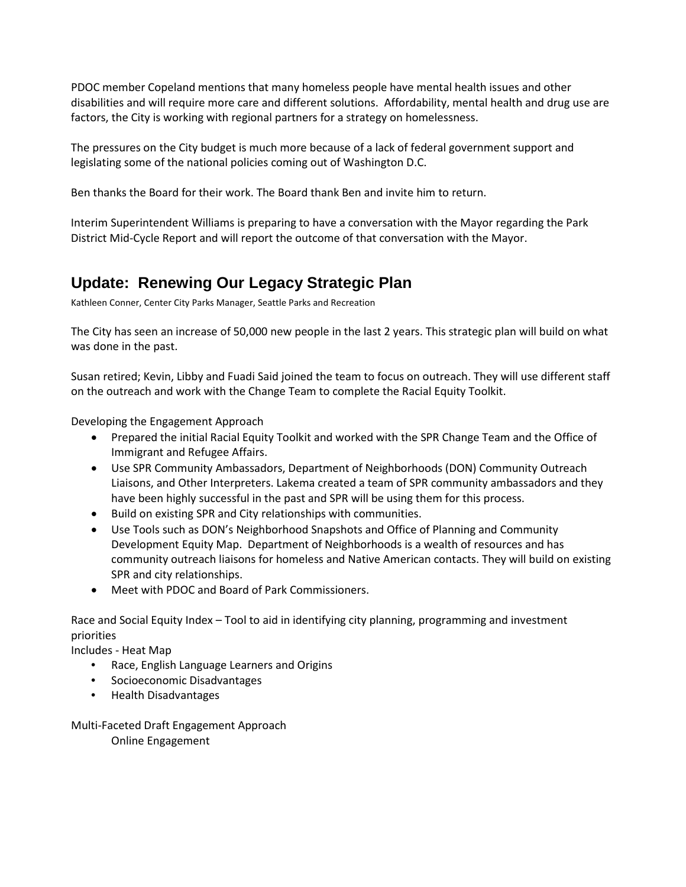PDOC member Copeland mentions that many homeless people have mental health issues and other disabilities and will require more care and different solutions. Affordability, mental health and drug use are factors, the City is working with regional partners for a strategy on homelessness.

The pressures on the City budget is much more because of a lack of federal government support and legislating some of the national policies coming out of Washington D.C.

Ben thanks the Board for their work. The Board thank Ben and invite him to return.

Interim Superintendent Williams is preparing to have a conversation with the Mayor regarding the Park District Mid-Cycle Report and will report the outcome of that conversation with the Mayor.

# **Update: Renewing Our Legacy Strategic Plan**

Kathleen Conner, Center City Parks Manager, Seattle Parks and Recreation

The City has seen an increase of 50,000 new people in the last 2 years. This strategic plan will build on what was done in the past.

Susan retired; Kevin, Libby and Fuadi Said joined the team to focus on outreach. They will use different staff on the outreach and work with the Change Team to complete the Racial Equity Toolkit.

Developing the Engagement Approach

- Prepared the initial Racial Equity Toolkit and worked with the SPR Change Team and the Office of Immigrant and Refugee Affairs.
- Use SPR Community Ambassadors, Department of Neighborhoods (DON) Community Outreach Liaisons, and Other Interpreters. Lakema created a team of SPR community ambassadors and they have been highly successful in the past and SPR will be using them for this process.
- Build on existing SPR and City relationships with communities.
- Use Tools such as DON's Neighborhood Snapshots and Office of Planning and Community Development Equity Map. Department of Neighborhoods is a wealth of resources and has community outreach liaisons for homeless and Native American contacts. They will build on existing SPR and city relationships.
- Meet with PDOC and Board of Park Commissioners.

Race and Social Equity Index – Tool to aid in identifying city planning, programming and investment priorities

Includes - Heat Map

- Race, English Language Learners and Origins
- Socioeconomic Disadvantages
- Health Disadvantages

Multi-Faceted Draft Engagement Approach Online Engagement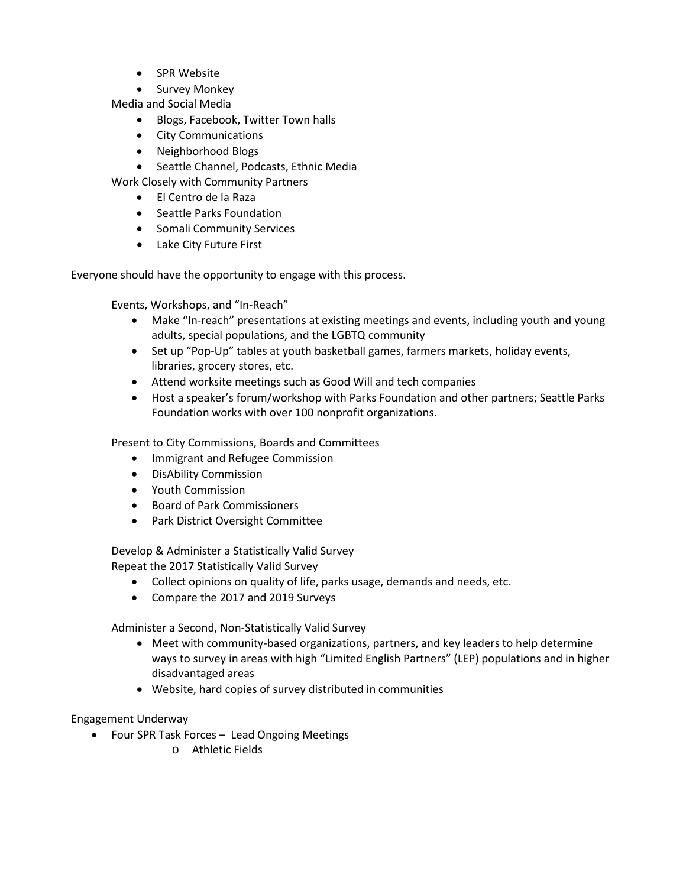- SPR Website
- Survey Monkey

Media and Social Media

- Blogs, Facebook, Twitter Town halls
- City Communications
- Neighborhood Blogs

• Seattle Channel, Podcasts, Ethnic Media

Work Closely with Community Partners

- El Centro de la Raza
- Seattle Parks Foundation
- Somali Community Services
- Lake City Future First

Everyone should have the opportunity to engage with this process.

Events, Workshops, and "In-Reach"

- Make "In-reach" presentations at existing meetings and events, including youth and young adults, special populations, and the LGBTQ community
- Set up "Pop-Up" tables at youth basketball games, farmers markets, holiday events, libraries, grocery stores, etc.
- Attend worksite meetings such as Good Will and tech companies
- Host a speaker's forum/workshop with Parks Foundation and other partners; Seattle Parks Foundation works with over 100 nonprofit organizations.

Present to City Commissions, Boards and Committees

- Immigrant and Refugee Commission
- DisAbility Commission
- Youth Commission
- Board of Park Commissioners
- Park District Oversight Committee

Develop & Administer a Statistically Valid Survey Repeat the 2017 Statistically Valid Survey

• Collect opinions on quality of life, parks usage, demands and needs, etc.

• Compare the 2017 and 2019 Surveys

Administer a Second, Non-Statistically Valid Survey

- Meet with community-based organizations, partners, and key leaders to help determine ways to survey in areas with high "Limited English Partners" (LEP) populations and in higher disadvantaged areas
- Website, hard copies of survey distributed in communities

Engagement Underway

- Four SPR Task Forces Lead Ongoing Meetings
	- o Athletic Fields